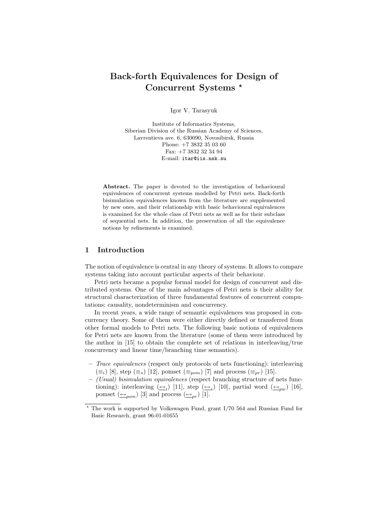# Back-forth Equivalences for Design of Concurrent Systems ?

Igor V. Tarasyuk

Institute of Informatics Systems, Siberian Division of the Russian Academy of Sciences, Lavrentieva ave. 6, 630090, Novosibirsk, Russia Phone: +7 3832 35 03 60 Fax: +7 3832 32 34 94 E-mail: itar@iis.nsk.su

Abstract. The paper is devoted to the investigation of behavioural equivalences of concurrent systems modelled by Petri nets. Back-forth bisimulation equivalences known from the literature are supplemented by new ones, and their relationship with basic behavioural equivalences is examined for the whole class of Petri nets as well as for their subclass of sequential nets. In addition, the preservation of all the equivalence notions by refinements is examined.

### 1 Introduction

The notion of equivalence is central in any theory of systems. It allows to compare systems taking into account particular aspects of their behaviour.

Petri nets became a popular formal model for design of concurrent and distributed systems. One of the main advantages of Petri nets is their ability for structural characterization of three fundamental features of concurrent computations: causality, nondeterminism and concurrency.

In recent years, a wide range of semantic equivalences was proposed in concurrency theory. Some of them were either directly defined or transferred from other formal models to Petri nets. The following basic notions of equivalences for Petri nets are known from the literature (some of them were introduced by the author in [15] to obtain the complete set of relations in interleaving/true concurrency and linear time/branching time semantics).

- $-$  Trace equivalences (respect only protocols of nets functioning): interleaving  $(\equiv_i)$  [8], step  $(\equiv_s)$  [12], pomset  $(\equiv_{pom})$  [7] and process  $(\equiv_{pr})$  [15].
- (Usual) bisimulation equivalences (respect branching structure of nets functioning): interleaving  $(\underline{\leftrightarrow}_i)$  [11], step  $(\underline{\leftrightarrow}_s)$  [10], partial word  $(\underline{\leftrightarrow}_{pw})$  [16], pomset  $(\underline{\leftrightarrow}_{pom})$  [3] and process  $(\underline{\leftrightarrow}_{pr})$  [1].

<sup>?</sup> The work is supported by Volkswagen Fund, grant I/70 564 and Russian Fund for Basic Research, grant 96-01-01655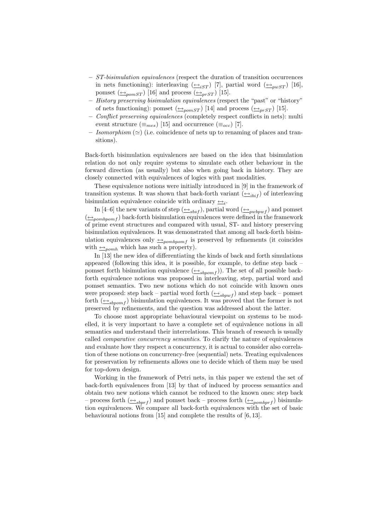- ST-bisimulation equivalences (respect the duration of transition occurrences in nets functioning): interleaving  $(\triangle_{iST})$  [7], partial word  $(\triangle_{pwST})$  [16], pomset  $(\triangle_{\text{pomST}})$  [16] and process  $(\triangle_{\text{prST}})$  [15].
- History preserving bisimulation equivalences (respect the "past" or "history" of nets functioning): pomset  $(\triangle_{\text{pomST}})$  [14] and process  $(\triangle_{\text{prST}})$  [15].
- Conflict preserving equivalences (completely respect conflicts in nets): multi event structure ( $\equiv_{mes}$ ) [15] and occurrence ( $\equiv_{occ}$ ) [7].
- Isomorphism  $(\simeq)$  (i.e. coincidence of nets up to renaming of places and transitions).

Back-forth bisimulation equivalences are based on the idea that bisimulation relation do not only require systems to simulate each other behaviour in the forward direction (as usually) but also when going back in history. They are closely connected with equivalences of logics with past modalities.

These equivalence notions were initially introduced in [9] in the framework of transition systems. It was shown that back-forth variant  $(\triangle_{i\{bit\}})$  of interleaving bisimulation equivalence coincide with ordinary  $\triangleq_i$ .

In [4–6] the new variants of step  $(\triangle_{sbsf})$ , partial word  $(\triangle_{pubpwf})$  and pomset  $(\triangle_{pombpom f})$  back-forth bisimulation equivalences were defined in the framework of prime event structures and compared with usual, ST- and history preserving bisimulation equivalences. It was demonstrated that among all back-forth bisimulation equivalences only  $\triangle_{pombpomf}$  is preserved by refinements (it coincides with  $\triangle_{pomh}$  which has such a property).

In [13] the new idea of differentiating the kinds of back and forth simulations appeared (following this idea, it is possible, for example, to define step back – pomset forth bisimulation equivalence  $(\triangle_{sbpom f})$ . The set of all possible backforth equivalence notions was proposed in interleaving, step, partial word and pomset semantics. Two new notions which do not coincide with known ones were proposed: step back – partial word forth  $(\triangle_{sbpwf})$  and step back – pomset forth  $(\triangle_{sbpomf})$  bisimulation equivalences. It was proved that the former is not preserved by refinements, and the question was addressed about the latter.

To choose most appropriate behavioural viewpoint on systems to be modelled, it is very important to have a complete set of equivalence notions in all semantics and understand their interrelations. This branch of research is usually called comparative concurrency semantics. To clarify the nature of equivalences and evaluate how they respect a concurrency, it is actual to consider also correlation of these notions on concurrency-free (sequential) nets. Treating equivalences for preservation by refinements allows one to decide which of them may be used for top-down design.

Working in the framework of Petri nets, in this paper we extend the set of back-forth equivalences from [13] by that of induced by process semantics and obtain two new notions which cannot be reduced to the known ones: step back – process forth  $(\triangle_{sbrrf})$  and pomset back – process forth  $(\triangle_{pombprf})$  bisimulation equivalences. We compare all back-forth equivalences with the set of basic behavioural notions from [15] and complete the results of [6, 13].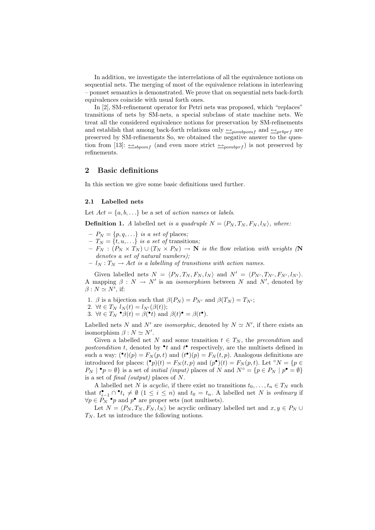In addition, we investigate the interrelations of all the equivalence notions on sequential nets. The merging of most of the equivalence relations in interleaving – pomset semantics is demonstrated. We prove that on sequential nets back-forth equivalences coincide with usual forth ones.

In [2], SM-refinement operator for Petri nets was proposed, which "replaces" transitions of nets by SM-nets, a special subclass of state machine nets. We treat all the considered equivalence notions for preservation by SM-refinements and establish that among back-forth relations only  $\rightarrow_{pombpomf}$  and  $\rightarrow_{prbprf}$  are preserved by SM-refinements So, we obtained the negative answer to the question from [13]:  $\rightarrow$ <sub>sbpomf</sub> (and even more strict  $\rightarrow$ <sub>pombprf</sub>) is not preserved by refinements.

### 2 Basic definitions

In this section we give some basic definitions used further.

#### 2.1 Labelled nets

Let  $Act = \{a, b, \ldots\}$  be a set of action names or labels.

**Definition 1.** A labelled net is a quadruple  $N = \langle P_N, T_N, F_N, l_N \rangle$ , where:

- $-P_N = \{p,q,\ldots\}$  is a set of places;
- $-T_N = \{t, u, ...\}$  is a set of transitions;
- $-F_N : (P_N \times T_N) \cup (T_N \times P_N) \to \mathbb{N}$  is the flow relation with weights (N denotes a set of natural numbers);
- $l_N : T_N \to Act$  is a labelling of transitions with action names.

Given labelled nets  $N = \langle P_N, T_N, F_N, l_N \rangle$  and  $N' = \langle P_{N'}, T_{N'}, F_{N'}, l_{N'} \rangle$ . A mapping  $\beta : N \to N'$  is an *isomorphism* between N and N', denoted by  $\beta : N \simeq N'$ , if:

- 1. β is a bijection such that  $\beta(P_N) = P_{N'}$  and  $\beta(T_N) = T_{N'}$ ;
- 2.  $\forall t \in T_N$   $l_N(t) = l_{N'}(\beta(t));$
- 3.  $\forall t \in T_N \bullet \beta(t) = \beta(\bullet t)$  and  $\beta(t) \bullet = \beta(t \bullet)$ .

Labelled nets N and N' are *isomorphic*, denoted by  $N \simeq N'$ , if there exists an isomorphism  $\beta : N \simeq N'.$ 

Given a labelled net N and some transition  $t \in T_N$ , the precondition and postcondition t, denoted by  $\cdot t$  and  $t$  respectively, are the multisets defined in such a way:  $(\bullet t)(p) = F_N(p, t)$  and  $(t^{\bullet})(p) = F_N(t, p)$ . Analogous definitions are introduced for places:  $\binom{\bullet}{p}(t) = F_N(t,p)$  and  $(p^{\bullet})(t) = F_N(p,t)$ . Let °N = {p  $\in$  $P_N \mid \bullet_p = \emptyset$  is a set of *initial (input)* places of N and  $N^{\circ} = \{p \in P_N \mid p^{\bullet} = \emptyset\}$ is a set of final (output) places of N.

A labelled net N is *acyclic*, if there exist no transitions  $t_0, \ldots, t_n \in T_N$  such that  $t_{i-1}^{\bullet} \cap \bullet t_i \neq \emptyset$   $(1 \leq i \leq n)$  and  $t_0 = t_n$ . A labelled net N is ordinary if  $\forall p \in P_N$  • p and  $p^{\bullet}$  are proper sets (not multisets).

Let  $N = \langle P_N, T_N, F_N, l_N \rangle$  be acyclic ordinary labelled net and  $x, y \in P_N \cup$  $T_N$ . Let us introduce the following notions.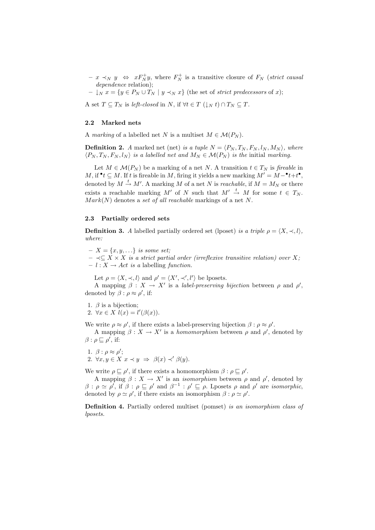$- x \prec_N y \Leftrightarrow x F_N^+ y$ , where  $F_N^+$  is a transitive closure of  $F_N$  (strict causal dependence relation);

 $-\downarrow_N x = \{y \in P_N \cup T_N \mid y \prec_N x\}$  (the set of *strict predecessors* of x);

A set  $T \subseteq T_N$  is left-closed in N, if  $\forall t \in T \left( \downarrow_N t \right) \cap T_N \subseteq T$ .

#### 2.2 Marked nets

A marking of a labelled net N is a multiset  $M \in \mathcal{M}(P_N)$ .

**Definition 2.** A marked net (net) is a tuple  $N = \langle P_N, T_N, F_N, l_N, M_N \rangle$ , where  $\langle P_N, T_N, F_N, l_N \rangle$  is a labelled net and  $M_N \in \mathcal{M}(P_N)$  is the initial marking.

Let  $M \in \mathcal{M}(P_N)$  be a marking of a net N. A transition  $t \in T_N$  is fireable in M, if  $\mathbf{t} \subseteq M$ . If t is fireable in M, firing it yields a new marking  $M' = M - \mathbf{t} + t^{\bullet}$ , denoted by  $M \stackrel{t}{\rightarrow} M'$ . A marking M of a net N is *reachable*, if  $M = M_N$  or there exists a reachable marking M' of N such that  $M' \stackrel{t}{\rightarrow} M$  for some  $t \in T_N$ .  $Mark(N)$  denotes a set of all reachable markings of a net N.

#### 2.3 Partially ordered sets

**Definition 3.** A labelled partially ordered set (lposet) is a triple  $\rho = \langle X, \prec, l \rangle$ , where:

 $-X = \{x, y, \ldots\}$  is some set;

 $-\prec\subseteq X\times X$  is a strict partial order (irreflexive transitive relation) over X;  $- l : X \rightarrow Act$  is a labelling function.

Let  $\rho = \langle X, \prec, l \rangle$  and  $\rho' = \langle X', \prec', l' \rangle$  be lposets.

A mapping  $\beta: X \to X'$  is a *label-preserving bijection* between  $\rho$  and  $\rho'$ , denoted by  $\beta$  :  $\rho \approx \rho'$ , if:

1.  $\beta$  is a bijection;

2.  $\forall x \in X \; l(x) = l'(\beta(x)).$ 

We write  $\rho \approx \rho'$ , if there exists a label-preserving bijection  $\beta : \rho \approx \rho'$ .

A mapping  $\beta: X \to X'$  is a *homomorphism* between  $\rho$  and  $\rho'$ , denoted by  $\beta$  :  $\rho \sqsubseteq \rho'$ , if:

1.  $\beta$  :  $\rho \approx \rho'$ ;

2.  $\forall x, y \in X \ x \prec y \ \Rightarrow \ \beta(x) \prec' \beta(y).$ 

We write  $\rho \sqsubseteq \rho'$ , if there exists a homomorphism  $\beta : \rho \sqsubseteq \rho'$ .

A mapping  $\beta: X \to X'$  is an *isomorphism* between  $\rho$  and  $\rho'$ , denoted by  $\beta$  :  $\rho \simeq \rho'$ , if  $\beta$  :  $\rho \sqsubseteq \rho'$  and  $\beta^{-1}$  :  $\rho' \sqsubseteq \rho$ . Lposets  $\rho$  and  $\rho'$  are *isomorphic*, denoted by  $\rho \simeq \rho'$ , if there exists an isomorphism  $\beta : \rho \simeq \rho'$ .

Definition 4. Partially ordered multiset (pomset) is an isomorphism class of lposets.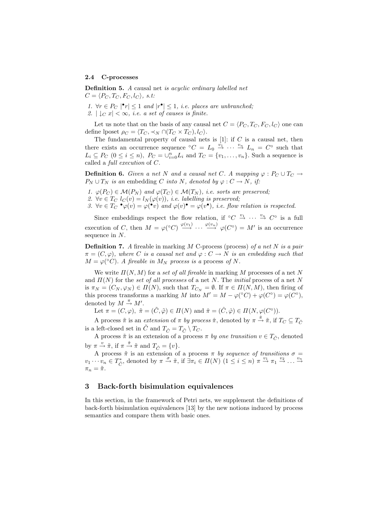#### 2.4 C-processes

Definition 5. A causal net is acyclic ordinary labelled net  $C = \langle P_C, T_C, F_C, l_C \rangle, s.t.$ 

1.  $\forall r \in P_C \mid \mathbf{r} \leq 1$  and  $|\mathbf{r} \bullet| \leq 1$ , i.e. places are unbranched; 2.  $|\downarrow_C x| < \infty$ , i.e. a set of causes is finite.

Let us note that on the basis of any causal net  $C = \langle P_C, T_C, F_C, l_C \rangle$  one can define lposet  $\rho_C = \langle T_C, \prec_N \cap (T_C \times T_C), l_C \rangle$ .

The fundamental property of causal nets is  $[1]$ : if  $C$  is a causal net, then there exists an occurrence sequence  ${}^{\circ}C = L_0 \stackrel{v_1}{\rightarrow} \cdots \stackrel{v_n}{\rightarrow} L_n = C^{\circ}$  such that  $L_i \subseteq P_C$   $(0 \le i \le n)$ ,  $P_C = \bigcup_{i=0}^n L_i$  and  $T_C = \{v_1, \ldots, v_n\}$ . Such a sequence is called a full execution of C.

**Definition 6.** Given a net N and a causal net C. A mapping  $\varphi : P_C \cup T_C \rightarrow$  $P_N \cup T_N$  is an embedding C into N, denoted by  $\varphi : C \to N$ , if:

- 1.  $\varphi(P_C) \in \mathcal{M}(P_N)$  and  $\varphi(T_C) \in \mathcal{M}(T_N)$ , i.e. sorts are preserved;
- 2.  $\forall v \in T_C$   $l_C(v) = l_N(\varphi(v))$ , *i.e. labelling is preserved*;
- 3.  $\forall v \in T_C \bullet \varphi(v) = \varphi(\bullet v)$  and  $\varphi(v) \bullet \varphi(v^{\bullet}),$  i.e. flow relation is respected.

Since embeddings respect the flow relation, if  $\partial C \stackrel{v_1}{\rightarrow} \cdots \stackrel{v_n}{\rightarrow} C^{\circ}$  is a full execution of C, then  $M = \varphi({}^{\circ}C) \stackrel{\varphi(v_1)}{\longrightarrow} \cdots \stackrel{\varphi(v_n)}{\longrightarrow} \varphi(C^{\circ}) = M'$  is an occurrence sequence in N.

**Definition 7.** A fireable in marking  $M$  C-process (process) of a net  $N$  is a pair  $\pi = (C, \varphi)$ , where C is a causal net and  $\varphi : C \to N$  is an embedding such that  $M = \varphi({}^{\circ}C)$ . A fireable in  $M_N$  process is a process of N.

We write  $\Pi(N, M)$  for a set of all fireable in marking M processes of a net N and  $\Pi(N)$  for the set of all processes of a net N. The initial process of a net N is  $\pi_N = (C_N, \varphi_N) \in \Pi(N)$ , such that  $T_{C_N} = \emptyset$ . If  $\pi \in \Pi(N, M)$ , then firing of this process transforms a marking M into  $M' = M - \varphi({}^{\circ}C) + \varphi(C^{\circ}) = \varphi(C^{\circ}),$ denoted by  $M \stackrel{\pi}{\rightarrow} M'$ .

Let  $\pi = (C, \varphi), \ \tilde{\pi} = (\tilde{C}, \tilde{\varphi}) \in \Pi(N)$  and  $\hat{\pi} = (\hat{C}, \hat{\varphi}) \in \Pi(N, \varphi(C^{\circ})).$ 

A process  $\tilde{\pi}$  is an *extension* of  $\pi$  *by process*  $\hat{\pi}$ , denoted by  $\pi \stackrel{\hat{\pi}}{\rightarrow} \tilde{\pi}$ , if  $T_C \subseteq T_{\tilde{C}}$ is a left-closed set in  $\tilde{C}$  and  $T_{\hat{C}} = T_{\tilde{C}} \setminus T_C$ .

A process  $\tilde{\pi}$  is an extension of a process  $\pi$  by one transition  $v \in T_{\tilde{C}}$ , denoted by  $\pi \stackrel{v}{\rightarrow} \tilde{\pi}$ , if  $\pi \stackrel{\hat{\pi}}{\rightarrow} \tilde{\pi}$  and  $T_{\hat{C}} = \{v\}.$ 

A process  $\tilde{\pi}$  is an extension of a process  $\pi$  by sequence of transitions  $\sigma =$  $v_1 \cdots v_n \in T^*_{\tilde{C}}$ , denoted by  $\pi \stackrel{\sigma}{\to} \tilde{\pi}$ , if  $\exists \pi_i \in \Pi(N) \ (1 \leq i \leq n) \pi \stackrel{v_1}{\to} \pi_1 \stackrel{v_2}{\to} \ldots \stackrel{v_n}{\to}$  $\pi_n = \tilde{\pi}.$ 

### 3 Back-forth bisimulation equivalences

In this section, in the framework of Petri nets, we supplement the definitions of back-forth bisimulation equivalences [13] by the new notions induced by process semantics and compare them with basic ones.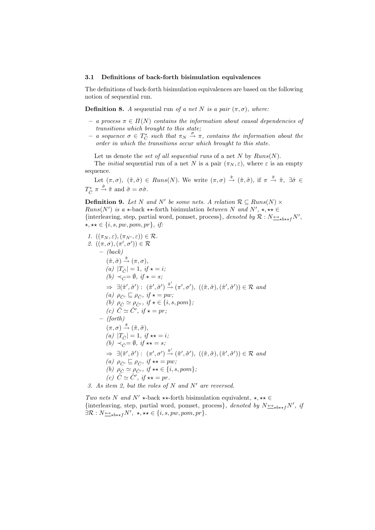#### 3.1 Definitions of back-forth bisimulation equivalences

The definitions of back-forth bisimulation equivalences are based on the following notion of sequential run.

**Definition 8.** A sequential run of a net N is a pair  $(\pi, \sigma)$ , where:

- $a$  process  $\pi \in \Pi(N)$  contains the information about causal dependencies of transitions which brought to this state;
- $-$  a sequence  $\sigma \in T_C^*$  such that  $\pi_N \stackrel{\sigma}{\to} \pi$ , contains the information about the order in which the transitions occur which brought to this state.

Let us denote the set of all sequential runs of a net  $N$  by  $Runs(N)$ .

The *initial* sequential run of a net N is a pair  $(\pi_N, \varepsilon)$ , where  $\varepsilon$  is an empty sequence.

Let  $(\pi, \sigma)$ ,  $(\tilde{\pi}, \tilde{\sigma}) \in \text{Runs}(N)$ . We write  $(\pi, \sigma) \stackrel{\hat{\pi}}{\rightarrow} (\tilde{\pi}, \tilde{\sigma})$ , if  $\pi \stackrel{\hat{\pi}}{\rightarrow} \tilde{\pi}$ ,  $\exists \hat{\sigma} \in$  $T_{\tilde{C}}^* \pi \xrightarrow{\hat{\sigma}} \tilde{\pi}$  and  $\tilde{\sigma} = \sigma \hat{\sigma}$ .

**Definition 9.** Let N and N' be some nets. A relation  $\mathcal{R} \subseteq Runs(N) \times$ *Runs*(*N'*) is a  $\star$ -back  $\star\star$ -forth bisimulation between N and N',  $\star$ ,  $\star\star$   $\in$ {interleaving, step, partial word, pomset, process}, denoted by  $\mathcal{R}: N_{\frac{\leftrightarrow}{\infty}b \star \star f}N'$ ,  $\star, \star \star \in \{i, s, pw, pom, pr\}, \text{ if:}$ 

1. 
$$
((\pi_N, \varepsilon), (\pi_{N'}, \varepsilon)) \in \mathcal{R}
$$
.  
\n2.  $((\pi, \sigma), (\pi', \sigma')) \in \mathcal{R}$   
\n $-(back)$   
\n $(\tilde{\pi}, \tilde{\sigma}) \xrightarrow{\hat{\pi}} (\pi, \sigma),$   
\n(a)  $|T_{\hat{C}}| = 1, \text{ if } \star = i;$   
\n(b)  $\prec_{\hat{C}} = \emptyset, \text{ if } \star = s;$   
\n $\Rightarrow \exists (\tilde{\pi}', \tilde{\sigma}') : (\tilde{\pi}', \tilde{\sigma}') \xrightarrow{\hat{\pi}'} (\pi', \sigma'), ((\tilde{\pi}, \tilde{\sigma}), (\tilde{\pi}', \tilde{\sigma}')) \in \mathcal{R}$  and  
\n(a)  $\rho_{\hat{C}'} \subseteq \rho_{\hat{C}}, \text{ if } \star = pw;$   
\n(b)  $\rho_{\hat{C}} \simeq \rho_{\hat{C}'}, \text{ if } \star = pr;$   
\n $-(forth)$   
\n $(\pi, \sigma) \xrightarrow{\hat{\pi}} (\tilde{\pi}, \tilde{\sigma}),$   
\n $(a) |T_{\hat{C}}| = 1, \text{ if } \star \star = i;$   
\n $(b) \prec_{\hat{C}} = \emptyset, \text{ if } \star \star = s;$   
\n $\Rightarrow \exists (\tilde{\pi}', \tilde{\sigma}') : (\pi', \sigma') \xrightarrow{\hat{\pi}'} (\tilde{\pi}', \tilde{\sigma}'), ((\tilde{\pi}, \tilde{\sigma}), (\tilde{\pi}', \tilde{\sigma}')) \in \mathcal{R}$  and  
\n(a)  $\rho_{\hat{C}'} \subseteq \rho_{\hat{C}}, \text{ if } \star \star = pw;$   
\n(b)  $\rho_{\hat{C}} \simeq \rho_{\hat{C}'}, \text{ if } \star \star \in \{i, s, pom\};$   
\n(c)  $\hat{C} \simeq \hat{C}', \text{ if } \star \star = pr.$   
\n3. As item 2, but the roles of N and N' are reversed.

Two nets N and N'  $\star$ -back  $\star\star$ -forth bisimulation equivalent,  $\star$ ,  $\star\star \in$ {interleaving, step, partial word, pomset, process}, denoted by  $N_{\rightarrow b \star f} N'$ , if  $\exists \mathcal{R}: N_{\rightarrow \star} \rightarrow_{\star} N', \star, \star \star \in \{i, s, pw, pom, pr\}.$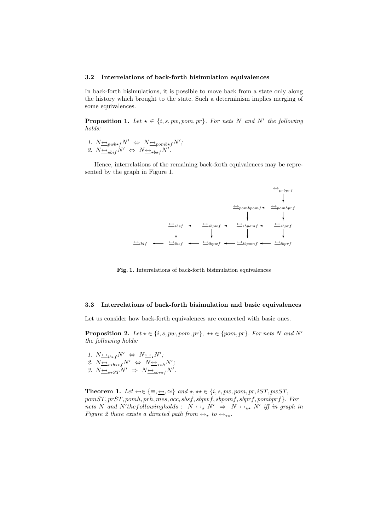#### 3.2 Interrelations of back-forth bisimulation equivalences

In back-forth bisimulations, it is possible to move back from a state only along the history which brought to the state. Such a determinism implies merging of some equivalences.

**Proposition 1.** Let  $\star \in \{i, s, pw, pom, pr\}$ . For nets N and N' the following holds:

1.  $N \underline{\leftrightarrow}_{pwb \star f} N' \Leftrightarrow N \underline{\leftrightarrow}_{pomb \star f} N'$ ; 2.  $N \rightarrow_{\text{bif}} N' \Leftrightarrow N \rightarrow_{\text{bif}} N'.$ 

Hence, interrelations of the remaining back-forth equivalences may be represented by the graph in Figure 1.



Fig. 1. Interrelations of back-forth bisimulation equivalences

#### 3.3 Interrelations of back-forth bisimulation and basic equivalences

Let us consider how back-forth equivalences are connected with basic ones.

**Proposition 2.** Let  $\star \in \{i, s, pw, pom, pr\}$ ,  $\star \star \in \{pom, pr\}$ . For nets N and N' the following holds:

1.  $N \underline{\leftrightarrow}_{ib \star f} N' \Leftrightarrow N \underline{\leftrightarrow}_{\star} N'$ ; 2.  $N \leftrightarrow \rightarrow_{\star \star b \star \star f} N' \Leftrightarrow N \leftrightarrow \rightarrow_{\star \star h} N'$ ; 3.  $N \rightarrow \star_{S} N' \Rightarrow N \rightarrow \star_{sh \star f} N'$ .

Theorem 1. Let  $\leftrightarrow \in \{\equiv, \leftrightarrow, \simeq\}$  and  $\star, \star \star \in \{i, s, pw, pom, pr, iST, pwST,$  $pomST, prST, pomh, prh, mes, occ, sbsf, sbpwf, sbpomf, sbprf, pombrf$  }. For nets N and N'thefollowingholds :  $N \leftrightarrow_{\star} N' \Rightarrow N \leftrightarrow_{\star \star} N'$  iff in graph in Figure 2 there exists a directed path from  $\leftrightarrow_{\star}$  to  $\leftrightarrow_{\star\star}$ .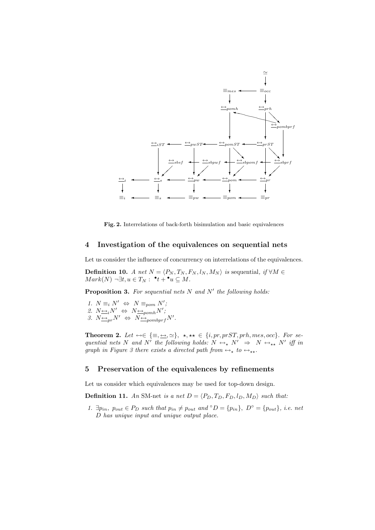

Fig. 2. Interrelations of back-forth bisimulation and basic equivalences

## 4 Investigation of the equivalences on sequential nets

Let us consider the influence of concurrency on interrelations of the equivalences.

**Definition 10.** A net  $N = \langle P_N, T_N, F_N, l_N, M_N \rangle$  is sequential, if  $\forall M \in$  $Mark(N) \neg \exists t, u \in T_N : \ \^{\bullet}t + \^{\bullet}u \subseteq M.$ 

**Proposition 3.** For sequential nets  $N$  and  $N'$  the following holds:

1.  $N \equiv_i N' \Leftrightarrow N \equiv_{\text{pom}} N'$ ; 2.  $N \leftrightarrow N \leftrightarrow \longrightarrow_{pomh} N'$ ; 3.  $N \leftrightarrow_{pr} N' \Leftrightarrow N \leftrightarrow_{pombprf} N'$ .

**Theorem 2.** Let  $\leftrightarrow \in \{\equiv, \leftrightarrow, \simeq\}, \star, \star\star \in \{i, pr, prST, prh, mes, occ\}$ . For sequential nets N and N' the following holds:  $N \leftrightarrow_{\star} N' \Rightarrow N \leftrightarrow_{\star \star} N'$  iff in graph in Figure 3 there exists a directed path from  $\leftrightarrow_{\star}$  to  $\leftrightarrow_{\star\star}$ .

### 5 Preservation of the equivalences by refinements

Let us consider which equivalences may be used for top-down design.

**Definition 11.** An SM-net is a net  $D = \langle P_D, T_D, F_D, l_D, M_D \rangle$  such that:

1.  $\exists p_{in}, p_{out} \in P_D$  such that  $p_{in} \neq p_{out}$  and  $\circ D = \{p_{in}\}, D^{\circ} = \{p_{out}\}, i.e.$  net D has unique input and unique output place.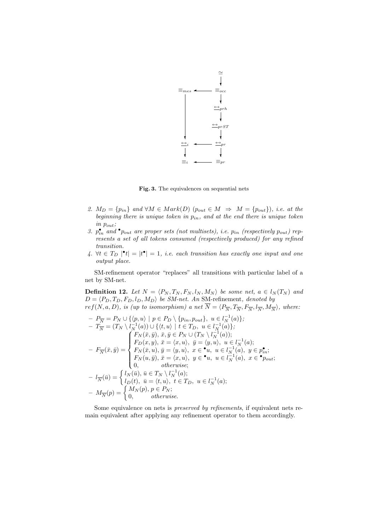

Fig. 3. The equivalences on sequential nets

- 2.  $M_D = \{p_{in}\}\$ and  $\forall M \in Mark(D)$   $(p_{out} \in M \Rightarrow M = \{p_{out}\})$ , *i.e.* at the beginning there is unique token in  $p_{in}$ , and at the end there is unique token in pout;
- 3.  $p_{in}^{\bullet}$  and  $^{\bullet}$  p<sub>out</sub> are proper sets (not multisets), i.e.  $p_{in}$  (respectively  $p_{out}$ ) represents a set of all tokens consumed (respectively produced) for any refined transition.
- 4.  $\forall t \in T_D \mid \mathbf{e}_t = |t^{\bullet}| = 1$ , i.e. each transition has exactly one input and one output place.

SM-refinement operator "replaces" all transitions with particular label of a net by SM-net.

**Definition 12.** Let  $N = \langle P_N, T_N, F_N, l_N, M_N \rangle$  be some net,  $a \in l_N(T_N)$  and  $D = \langle P_D, T_D, F_D, l_D, M_D \rangle$  be SM-net. An SM-refinement, denoted by

 $ref(N, a, D),$  is (up to isomorphism) a net  $\overline{N} = \langle P_{\overline{N}}, T_{\overline{N}}, F_{\overline{N}}, l_{\overline{N}}, M_{\overline{N}} \rangle$ , where:  $- P_{\overline{N}} = P_N \cup \{ \langle p, u \rangle \mid p \in P_D \setminus \{ p_{in}, p_{out} \}, u \in l_N^{-1}(a) \};$  $-\ T_{\overline{N}}^{\cdot} = (T_N \setminus l_{N}^{-1}(a)) \cup \{ \langle t, u \rangle \mid t \in T_D, u \in l_{N}^{-1}(a) \};$  $-F_{\overline{N}}(\bar{x},\bar{y})=$  $\frac{l}{2}$  $\int$  $\begin{matrix} \phantom{-} \end{matrix}$  $F_N(\bar{x}, \bar{y}), \bar{x}, \bar{y} \in P_N \cup (T_N \setminus l_N^{-1}(a));$  $F_D(x, y), \ \bar{x} = \langle x, u \rangle, \ \bar{y} = \langle y, u \rangle, \ u \in l_N^{-1}(a);$  $F_N(\bar x, u),\, \bar y=\langle y, u\rangle,\,\, x\in {^\bullet u},\,\, u\in l^{-1}_N(\hat a),\,\, y\in p_{in}^\bullet;$  $F_N(u, \bar{y}), \, \bar{x} = \langle x, u \rangle, \, y \in \bullet u, \, u \in l_N^{-1}(a), \, x \in \bullet p_{out};$ 0, otherwise;  $- l_{\overline{N}}(\overline{u}) = \begin{cases} l_N(\overline{u}), & \overline{u} \in T_N \setminus l_N^{-1}(a); \\ l_{\overline{N}}(t), & \overline{u} = \langle t, u \rangle, \ t \in T_n \end{cases}$ −1  $l_D(t), \bar{u} = \langle t, u \rangle, t \in T_D, u \in l_N^{-1}(a);$  $(M_N(t), u = \langle t, u \rangle,$ <br>  $-M_{\overline{N}}(p) = \begin{cases} M_N(p), p \in P_N; \\ 0 & otherwise \end{cases}$ 0, otherwise.

Some equivalence on nets is preserved by refinements, if equivalent nets remain equivalent after applying any refinement operator to them accordingly.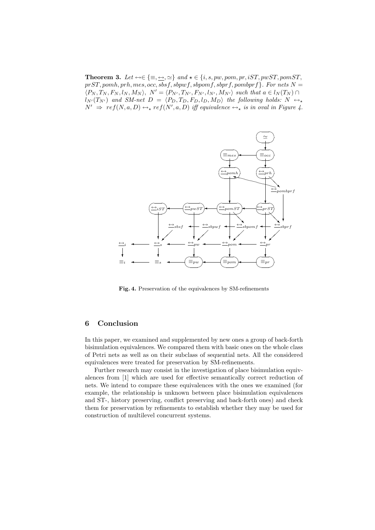**Theorem 3.** Let  $\leftrightarrow \in \{\equiv, \leftrightarrow, \simeq\}$  and  $\star \in \{i, s, pw, pom, pr, iST, pwST, pomST,$  $prST, pomh, prh, mes, occ, sbsf, sbpwf, sbpomf, sbprf, pombrf$  }. For nets  $N =$  $\langle P_N, T_N, F_N, l_N, M_N \rangle$ ,  $N' = \langle P_{N'}, T_{N'}, F_{N'}, l_{N'}, M_{N'} \rangle$  such that  $a \in l_N(T_N) \cap$  $l_{N'}(T_{N'})$  and SM-net  $D = \langle P_D, T_D, F_D, l_D, M_D \rangle$  the following holds:  $N \leftrightarrow$  $N' \Rightarrow ref(N, a, D) \leftrightarrow _* ref(N', a, D)$  iff equivalence  $\leftrightarrow _*$  is in oval in Figure 4.



Fig. 4. Preservation of the equivalences by SM-refinements

# 6 Conclusion

In this paper, we examined and supplemented by new ones a group of back-forth bisimulation equivalences. We compared them with basic ones on the whole class of Petri nets as well as on their subclass of sequential nets. All the considered equivalences were treated for preservation by SM-refinements.

Further research may consist in the investigation of place bisimulation equivalences from [1] which are used for effective semantically correct reduction of nets. We intend to compare these equivalences with the ones we examined (for example, the relationship is unknown between place bisimulation equivalences and ST-, history preserving, conflict preserving and back-forth ones) and check them for preservation by refinements to establish whether they may be used for construction of multilevel concurrent systems.